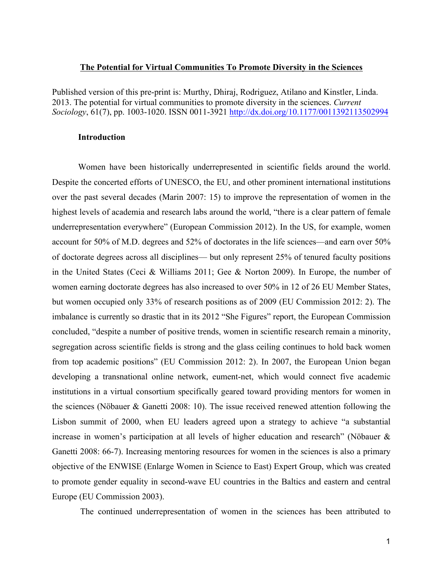#### **The Potential for Virtual Communities To Promote Diversity in the Sciences**

Published version of this pre-print is: Murthy, Dhiraj, Rodriguez, Atilano and Kinstler, Linda. 2013. The potential for virtual communities to promote diversity in the sciences. *Current Sociology*, 61(7), pp. 1003-1020. ISSN 0011-3921 http://dx.doi.org/10.1177/0011392113502994

### **Introduction**

Women have been historically underrepresented in scientific fields around the world. Despite the concerted efforts of UNESCO, the EU, and other prominent international institutions over the past several decades (Marin 2007: 15) to improve the representation of women in the highest levels of academia and research labs around the world, "there is a clear pattern of female underrepresentation everywhere" (European Commission 2012). In the US, for example, women account for 50% of M.D. degrees and 52% of doctorates in the life sciences—and earn over 50% of doctorate degrees across all disciplines— but only represent 25% of tenured faculty positions in the United States (Ceci & Williams 2011; Gee & Norton 2009). In Europe, the number of women earning doctorate degrees has also increased to over 50% in 12 of 26 EU Member States, but women occupied only 33% of research positions as of 2009 (EU Commission 2012: 2). The imbalance is currently so drastic that in its 2012 "She Figures" report, the European Commission concluded, "despite a number of positive trends, women in scientific research remain a minority, segregation across scientific fields is strong and the glass ceiling continues to hold back women from top academic positions" (EU Commission 2012: 2). In 2007, the European Union began developing a transnational online network, eument-net, which would connect five academic institutions in a virtual consortium specifically geared toward providing mentors for women in the sciences (Nöbauer & Ganetti 2008: 10). The issue received renewed attention following the Lisbon summit of 2000, when EU leaders agreed upon a strategy to achieve "a substantial increase in women's participation at all levels of higher education and research" (Nöbauer & Ganetti 2008: 66-7). Increasing mentoring resources for women in the sciences is also a primary objective of the ENWISE (Enlarge Women in Science to East) Expert Group, which was created to promote gender equality in second-wave EU countries in the Baltics and eastern and central Europe (EU Commission 2003).

The continued underrepresentation of women in the sciences has been attributed to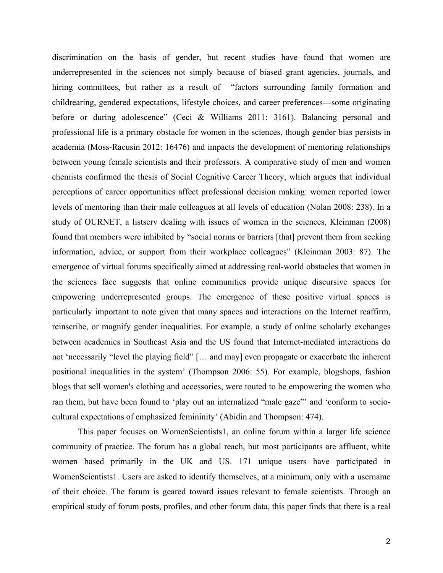discrimination on the basis of gender, but recent studies have found that women are underrepresented in the sciences not simply because of biased grant agencies, journals, and hiring committees, but rather as a result of "factors surrounding family formation and childrearing, gendered expectations, lifestyle choices, and career preferences**—**some originating before or during adolescence" (Ceci & Williams 2011: 3161). Balancing personal and professional life is a primary obstacle for women in the sciences, though gender bias persists in academia (Moss-Racusin 2012: 16476) and impacts the development of mentoring relationships between young female scientists and their professors. A comparative study of men and women chemists confirmed the thesis of Social Cognitive Career Theory, which argues that individual perceptions of career opportunities affect professional decision making: women reported lower levels of mentoring than their male colleagues at all levels of education (Nolan 2008: 238). In a study of OURNET, a listserv dealing with issues of women in the sciences, Kleinman (2008) found that members were inhibited by "social norms or barriers [that] prevent them from seeking information, advice, or support from their workplace colleagues" (Kleinman 2003: 87). The emergence of virtual forums specifically aimed at addressing real-world obstacles that women in the sciences face suggests that online communities provide unique discursive spaces for empowering underrepresented groups. The emergence of these positive virtual spaces is particularly important to note given that many spaces and interactions on the Internet reaffirm, reinscribe, or magnify gender inequalities. For example, a study of online scholarly exchanges between academics in Southeast Asia and the US found that Internet-mediated interactions do not 'necessarily "level the playing field" [… and may] even propagate or exacerbate the inherent positional inequalities in the system' (Thompson 2006: 55). For example, blogshops, fashion blogs that sell women's clothing and accessories, were touted to be empowering the women who ran them, but have been found to 'play out an internalized "male gaze"' and 'conform to sociocultural expectations of emphasized femininity' (Abidin and Thompson: 474).

This paper focuses on WomenScientists1, an online forum within a larger life science community of practice. The forum has a global reach, but most participants are affluent, white women based primarily in the UK and US. 171 unique users have participated in WomenScientists1. Users are asked to identify themselves, at a minimum, only with a username of their choice. The forum is geared toward issues relevant to female scientists. Through an empirical study of forum posts, profiles, and other forum data, this paper finds that there is a real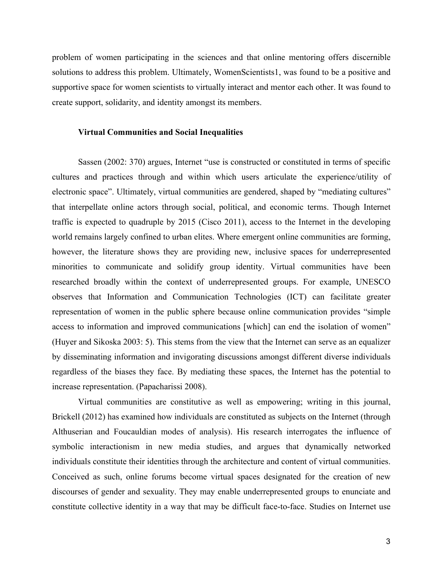problem of women participating in the sciences and that online mentoring offers discernible solutions to address this problem. Ultimately, WomenScientists1, was found to be a positive and supportive space for women scientists to virtually interact and mentor each other. It was found to create support, solidarity, and identity amongst its members.

### **Virtual Communities and Social Inequalities**

Sassen (2002: 370) argues, Internet "use is constructed or constituted in terms of specific cultures and practices through and within which users articulate the experience/utility of electronic space". Ultimately, virtual communities are gendered, shaped by "mediating cultures" that interpellate online actors through social, political, and economic terms. Though Internet traffic is expected to quadruple by 2015 (Cisco 2011), access to the Internet in the developing world remains largely confined to urban elites. Where emergent online communities are forming, however, the literature shows they are providing new, inclusive spaces for underrepresented minorities to communicate and solidify group identity. Virtual communities have been researched broadly within the context of underrepresented groups. For example, UNESCO observes that Information and Communication Technologies (ICT) can facilitate greater representation of women in the public sphere because online communication provides "simple access to information and improved communications [which] can end the isolation of women" (Huyer and Sikoska 2003: 5). This stems from the view that the Internet can serve as an equalizer by disseminating information and invigorating discussions amongst different diverse individuals regardless of the biases they face. By mediating these spaces, the Internet has the potential to increase representation. (Papacharissi 2008).

Virtual communities are constitutive as well as empowering; writing in this journal, Brickell (2012) has examined how individuals are constituted as subjects on the Internet (through Althuserian and Foucauldian modes of analysis). His research interrogates the influence of symbolic interactionism in new media studies, and argues that dynamically networked individuals constitute their identities through the architecture and content of virtual communities. Conceived as such, online forums become virtual spaces designated for the creation of new discourses of gender and sexuality. They may enable underrepresented groups to enunciate and constitute collective identity in a way that may be difficult face-to-face. Studies on Internet use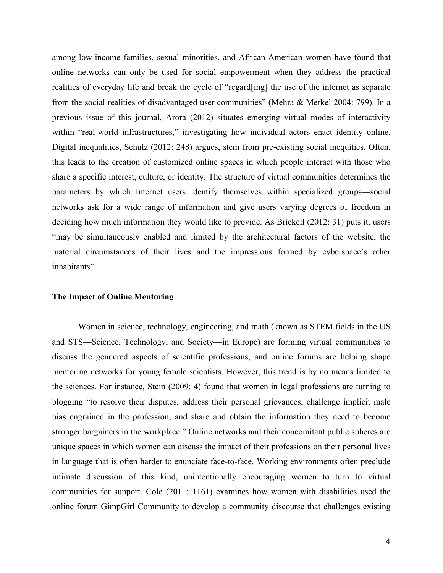among low-income families, sexual minorities, and African-American women have found that online networks can only be used for social empowerment when they address the practical realities of everyday life and break the cycle of "regard[ing] the use of the internet as separate from the social realities of disadvantaged user communities" (Mehra & Merkel 2004: 799). In a previous issue of this journal, Arora (2012) situates emerging virtual modes of interactivity within "real-world infrastructures," investigating how individual actors enact identity online. Digital inequalities, Schulz (2012: 248) argues, stem from pre-existing social inequities. Often, this leads to the creation of customized online spaces in which people interact with those who share a specific interest, culture, or identity. The structure of virtual communities determines the parameters by which Internet users identify themselves within specialized groups—social networks ask for a wide range of information and give users varying degrees of freedom in deciding how much information they would like to provide. As Brickell (2012: 31) puts it, users "may be simultaneously enabled and limited by the architectural factors of the website, the material circumstances of their lives and the impressions formed by cyberspace's other inhabitants".

### **The Impact of Online Mentoring**

Women in science, technology, engineering, and math (known as STEM fields in the US and STS—Science, Technology, and Society—in Europe) are forming virtual communities to discuss the gendered aspects of scientific professions, and online forums are helping shape mentoring networks for young female scientists. However, this trend is by no means limited to the sciences. For instance, Stein (2009: 4) found that women in legal professions are turning to blogging "to resolve their disputes, address their personal grievances, challenge implicit male bias engrained in the profession, and share and obtain the information they need to become stronger bargainers in the workplace." Online networks and their concomitant public spheres are unique spaces in which women can discuss the impact of their professions on their personal lives in language that is often harder to enunciate face-to-face. Working environments often preclude intimate discussion of this kind, unintentionally encouraging women to turn to virtual communities for support. Cole (2011: 1161) examines how women with disabilities used the online forum GimpGirl Community to develop a community discourse that challenges existing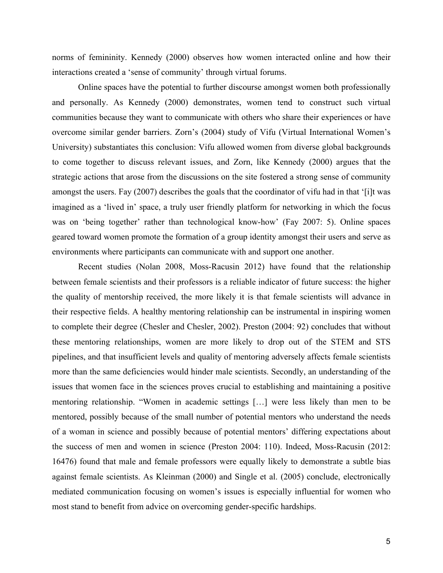norms of femininity. Kennedy (2000) observes how women interacted online and how their interactions created a 'sense of community' through virtual forums.

Online spaces have the potential to further discourse amongst women both professionally and personally. As Kennedy (2000) demonstrates, women tend to construct such virtual communities because they want to communicate with others who share their experiences or have overcome similar gender barriers. Zorn's (2004) study of Vifu (Virtual International Women's University) substantiates this conclusion: Vifu allowed women from diverse global backgrounds to come together to discuss relevant issues, and Zorn, like Kennedy (2000) argues that the strategic actions that arose from the discussions on the site fostered a strong sense of community amongst the users. Fay (2007) describes the goals that the coordinator of vifu had in that '[i]t was imagined as a 'lived in' space, a truly user friendly platform for networking in which the focus was on 'being together' rather than technological know-how' (Fay 2007: 5). Online spaces geared toward women promote the formation of a group identity amongst their users and serve as environments where participants can communicate with and support one another.

Recent studies (Nolan 2008, Moss-Racusin 2012) have found that the relationship between female scientists and their professors is a reliable indicator of future success: the higher the quality of mentorship received, the more likely it is that female scientists will advance in their respective fields. A healthy mentoring relationship can be instrumental in inspiring women to complete their degree (Chesler and Chesler, 2002). Preston (2004: 92) concludes that without these mentoring relationships, women are more likely to drop out of the STEM and STS pipelines, and that insufficient levels and quality of mentoring adversely affects female scientists more than the same deficiencies would hinder male scientists. Secondly, an understanding of the issues that women face in the sciences proves crucial to establishing and maintaining a positive mentoring relationship. "Women in academic settings […] were less likely than men to be mentored, possibly because of the small number of potential mentors who understand the needs of a woman in science and possibly because of potential mentors' differing expectations about the success of men and women in science (Preston 2004: 110). Indeed, Moss-Racusin (2012: 16476) found that male and female professors were equally likely to demonstrate a subtle bias against female scientists. As Kleinman (2000) and Single et al. (2005) conclude, electronically mediated communication focusing on women's issues is especially influential for women who most stand to benefit from advice on overcoming gender-specific hardships.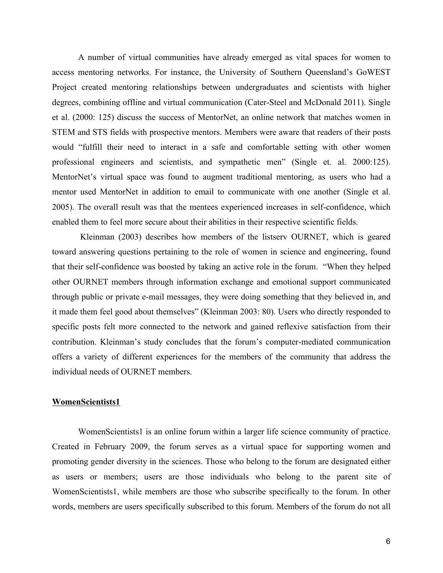A number of virtual communities have already emerged as vital spaces for women to access mentoring networks. For instance, the University of Southern Queensland's GoWEST Project created mentoring relationships between undergraduates and scientists with higher degrees, combining offline and virtual communication (Cater-Steel and McDonald 2011). Single et al. (2000: 125) discuss the success of MentorNet, an online network that matches women in STEM and STS fields with prospective mentors. Members were aware that readers of their posts would "fulfill their need to interact in a safe and comfortable setting with other women professional engineers and scientists, and sympathetic men" (Single et. al. 2000:125). MentorNet's virtual space was found to augment traditional mentoring, as users who had a mentor used MentorNet in addition to email to communicate with one another (Single et al. 2005). The overall result was that the mentees experienced increases in self-confidence, which enabled them to feel more secure about their abilities in their respective scientific fields.

Kleinman (2003) describes how members of the listserv OURNET, which is geared toward answering questions pertaining to the role of women in science and engineering, found that their self-confidence was boosted by taking an active role in the forum. "When they helped other OURNET members through information exchange and emotional support communicated through public or private e-mail messages, they were doing something that they believed in, and it made them feel good about themselves" (Kleinman 2003: 80). Users who directly responded to specific posts felt more connected to the network and gained reflexive satisfaction from their contribution. Kleinman's study concludes that the forum's computer-mediated communication offers a variety of different experiences for the members of the community that address the individual needs of OURNET members.

### **WomenScientists1**

WomenScientists1 is an online forum within a larger life science community of practice. Created in February 2009, the forum serves as a virtual space for supporting women and promoting gender diversity in the sciences. Those who belong to the forum are designated either as users or members; users are those individuals who belong to the parent site of WomenScientists1, while members are those who subscribe specifically to the forum. In other words, members are users specifically subscribed to this forum. Members of the forum do not all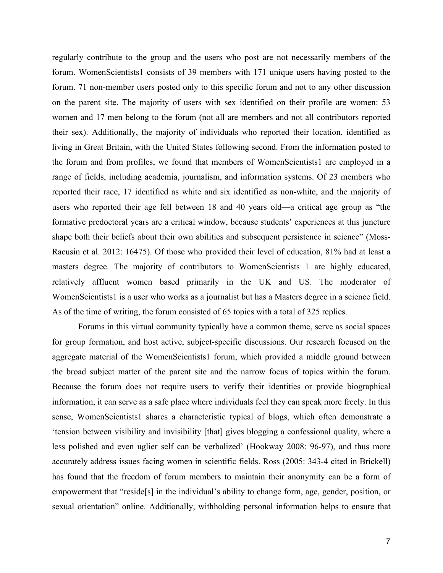regularly contribute to the group and the users who post are not necessarily members of the forum. WomenScientists1 consists of 39 members with 171 unique users having posted to the forum. 71 non-member users posted only to this specific forum and not to any other discussion on the parent site. The majority of users with sex identified on their profile are women: 53 women and 17 men belong to the forum (not all are members and not all contributors reported their sex). Additionally, the majority of individuals who reported their location, identified as living in Great Britain, with the United States following second. From the information posted to the forum and from profiles, we found that members of WomenScientists1 are employed in a range of fields, including academia, journalism, and information systems. Of 23 members who reported their race, 17 identified as white and six identified as non-white, and the majority of users who reported their age fell between 18 and 40 years old—a critical age group as "the formative predoctoral years are a critical window, because students' experiences at this juncture shape both their beliefs about their own abilities and subsequent persistence in science" (Moss-Racusin et al. 2012: 16475). Of those who provided their level of education, 81% had at least a masters degree. The majority of contributors to WomenScientists 1 are highly educated, relatively affluent women based primarily in the UK and US. The moderator of WomenScientists1 is a user who works as a journalist but has a Masters degree in a science field. As of the time of writing, the forum consisted of 65 topics with a total of 325 replies.

Forums in this virtual community typically have a common theme, serve as social spaces for group formation, and host active, subject-specific discussions. Our research focused on the aggregate material of the WomenScientists1 forum, which provided a middle ground between the broad subject matter of the parent site and the narrow focus of topics within the forum. Because the forum does not require users to verify their identities or provide biographical information, it can serve as a safe place where individuals feel they can speak more freely. In this sense, WomenScientists1 shares a characteristic typical of blogs, which often demonstrate a 'tension between visibility and invisibility [that] gives blogging a confessional quality, where a less polished and even uglier self can be verbalized' (Hookway 2008: 96-97), and thus more accurately address issues facing women in scientific fields. Ross (2005: 343-4 cited in Brickell) has found that the freedom of forum members to maintain their anonymity can be a form of empowerment that "reside[s] in the individual's ability to change form, age, gender, position, or sexual orientation" online. Additionally, withholding personal information helps to ensure that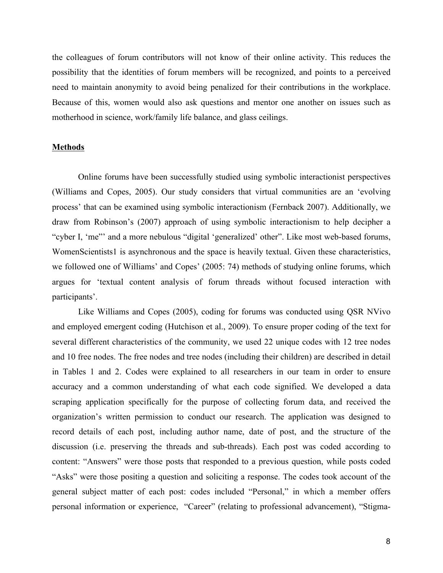the colleagues of forum contributors will not know of their online activity. This reduces the possibility that the identities of forum members will be recognized, and points to a perceived need to maintain anonymity to avoid being penalized for their contributions in the workplace. Because of this, women would also ask questions and mentor one another on issues such as motherhood in science, work/family life balance, and glass ceilings.

## **Methods**

Online forums have been successfully studied using symbolic interactionist perspectives (Williams and Copes, 2005). Our study considers that virtual communities are an 'evolving process' that can be examined using symbolic interactionism (Fernback 2007). Additionally, we draw from Robinson's (2007) approach of using symbolic interactionism to help decipher a "cyber I, 'me"' and a more nebulous "digital 'generalized' other". Like most web-based forums, WomenScientists1 is asynchronous and the space is heavily textual. Given these characteristics, we followed one of Williams' and Copes' (2005: 74) methods of studying online forums, which argues for 'textual content analysis of forum threads without focused interaction with participants'.

Like Williams and Copes (2005), coding for forums was conducted using QSR NVivo and employed emergent coding (Hutchison et al., 2009). To ensure proper coding of the text for several different characteristics of the community, we used 22 unique codes with 12 tree nodes and 10 free nodes. The free nodes and tree nodes (including their children) are described in detail in Tables 1 and 2. Codes were explained to all researchers in our team in order to ensure accuracy and a common understanding of what each code signified. We developed a data scraping application specifically for the purpose of collecting forum data, and received the organization's written permission to conduct our research. The application was designed to record details of each post, including author name, date of post, and the structure of the discussion (i.e. preserving the threads and sub-threads). Each post was coded according to content: "Answers" were those posts that responded to a previous question, while posts coded "Asks" were those positing a question and soliciting a response. The codes took account of the general subject matter of each post: codes included "Personal," in which a member offers personal information or experience, "Career" (relating to professional advancement), "Stigma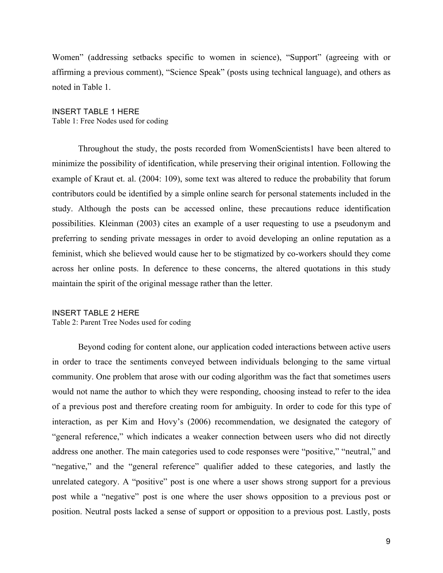Women" (addressing setbacks specific to women in science), "Support" (agreeing with or affirming a previous comment), "Science Speak" (posts using technical language), and others as noted in Table 1.

# INSERT TABLE 1 HERE

Table 1: Free Nodes used for coding

Throughout the study, the posts recorded from WomenScientists1 have been altered to minimize the possibility of identification, while preserving their original intention. Following the example of Kraut et. al. (2004: 109), some text was altered to reduce the probability that forum contributors could be identified by a simple online search for personal statements included in the study. Although the posts can be accessed online, these precautions reduce identification possibilities. Kleinman (2003) cites an example of a user requesting to use a pseudonym and preferring to sending private messages in order to avoid developing an online reputation as a feminist, which she believed would cause her to be stigmatized by co-workers should they come across her online posts. In deference to these concerns, the altered quotations in this study maintain the spirit of the original message rather than the letter.

INSERT TABLE 2 HERE Table 2: Parent Tree Nodes used for coding

Beyond coding for content alone, our application coded interactions between active users in order to trace the sentiments conveyed between individuals belonging to the same virtual community. One problem that arose with our coding algorithm was the fact that sometimes users would not name the author to which they were responding, choosing instead to refer to the idea of a previous post and therefore creating room for ambiguity. In order to code for this type of interaction, as per Kim and Hovy's (2006) recommendation, we designated the category of "general reference," which indicates a weaker connection between users who did not directly address one another. The main categories used to code responses were "positive," "neutral," and "negative," and the "general reference" qualifier added to these categories, and lastly the unrelated category. A "positive" post is one where a user shows strong support for a previous post while a "negative" post is one where the user shows opposition to a previous post or position. Neutral posts lacked a sense of support or opposition to a previous post. Lastly, posts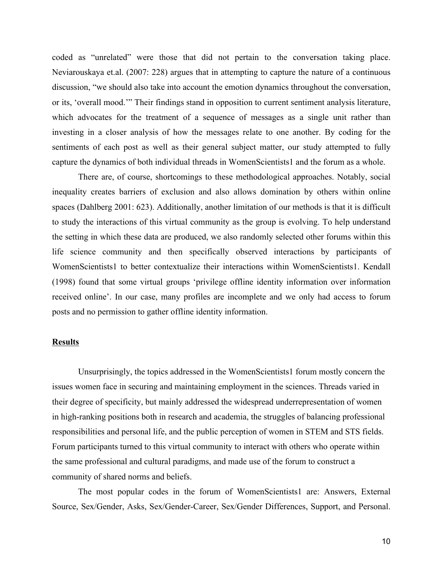coded as "unrelated" were those that did not pertain to the conversation taking place. Neviarouskaya et.al. (2007: 228) argues that in attempting to capture the nature of a continuous discussion, "we should also take into account the emotion dynamics throughout the conversation, or its, 'overall mood.'" Their findings stand in opposition to current sentiment analysis literature, which advocates for the treatment of a sequence of messages as a single unit rather than investing in a closer analysis of how the messages relate to one another. By coding for the sentiments of each post as well as their general subject matter, our study attempted to fully capture the dynamics of both individual threads in WomenScientists1 and the forum as a whole.

There are, of course, shortcomings to these methodological approaches. Notably, social inequality creates barriers of exclusion and also allows domination by others within online spaces (Dahlberg 2001: 623). Additionally, another limitation of our methods is that it is difficult to study the interactions of this virtual community as the group is evolving. To help understand the setting in which these data are produced, we also randomly selected other forums within this life science community and then specifically observed interactions by participants of WomenScientists1 to better contextualize their interactions within WomenScientists1. Kendall (1998) found that some virtual groups 'privilege offline identity information over information received online'. In our case, many profiles are incomplete and we only had access to forum posts and no permission to gather offline identity information.

### **Results**

Unsurprisingly, the topics addressed in the WomenScientists1 forum mostly concern the issues women face in securing and maintaining employment in the sciences. Threads varied in their degree of specificity, but mainly addressed the widespread underrepresentation of women in high-ranking positions both in research and academia, the struggles of balancing professional responsibilities and personal life, and the public perception of women in STEM and STS fields. Forum participants turned to this virtual community to interact with others who operate within the same professional and cultural paradigms, and made use of the forum to construct a community of shared norms and beliefs.

The most popular codes in the forum of WomenScientists1 are: Answers, External Source, Sex/Gender, Asks, Sex/Gender-Career, Sex/Gender Differences, Support, and Personal.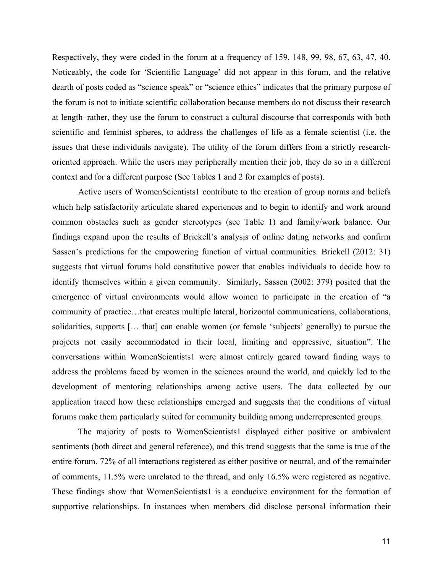Respectively, they were coded in the forum at a frequency of 159, 148, 99, 98, 67, 63, 47, 40. Noticeably, the code for 'Scientific Language' did not appear in this forum, and the relative dearth of posts coded as "science speak" or "science ethics" indicates that the primary purpose of the forum is not to initiate scientific collaboration because members do not discuss their research at length–rather, they use the forum to construct a cultural discourse that corresponds with both scientific and feminist spheres, to address the challenges of life as a female scientist (i.e. the issues that these individuals navigate). The utility of the forum differs from a strictly researchoriented approach. While the users may peripherally mention their job, they do so in a different context and for a different purpose (See Tables 1 and 2 for examples of posts).

Active users of WomenScientists1 contribute to the creation of group norms and beliefs which help satisfactorily articulate shared experiences and to begin to identify and work around common obstacles such as gender stereotypes (see Table 1) and family/work balance. Our findings expand upon the results of Brickell's analysis of online dating networks and confirm Sassen's predictions for the empowering function of virtual communities. Brickell (2012: 31) suggests that virtual forums hold constitutive power that enables individuals to decide how to identify themselves within a given community. Similarly, Sassen (2002: 379) posited that the emergence of virtual environments would allow women to participate in the creation of "a community of practice…that creates multiple lateral, horizontal communications, collaborations, solidarities, supports [... that] can enable women (or female 'subjects' generally) to pursue the projects not easily accommodated in their local, limiting and oppressive, situation". The conversations within WomenScientists1 were almost entirely geared toward finding ways to address the problems faced by women in the sciences around the world, and quickly led to the development of mentoring relationships among active users. The data collected by our application traced how these relationships emerged and suggests that the conditions of virtual forums make them particularly suited for community building among underrepresented groups.

The majority of posts to WomenScientists1 displayed either positive or ambivalent sentiments (both direct and general reference), and this trend suggests that the same is true of the entire forum. 72% of all interactions registered as either positive or neutral, and of the remainder of comments, 11.5% were unrelated to the thread, and only 16.5% were registered as negative. These findings show that WomenScientists1 is a conducive environment for the formation of supportive relationships. In instances when members did disclose personal information their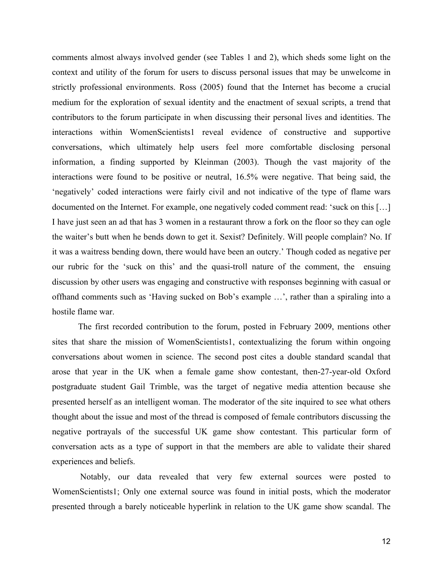comments almost always involved gender (see Tables 1 and 2), which sheds some light on the context and utility of the forum for users to discuss personal issues that may be unwelcome in strictly professional environments. Ross (2005) found that the Internet has become a crucial medium for the exploration of sexual identity and the enactment of sexual scripts, a trend that contributors to the forum participate in when discussing their personal lives and identities. The interactions within WomenScientists1 reveal evidence of constructive and supportive conversations, which ultimately help users feel more comfortable disclosing personal information, a finding supported by Kleinman (2003). Though the vast majority of the interactions were found to be positive or neutral, 16.5% were negative. That being said, the 'negatively' coded interactions were fairly civil and not indicative of the type of flame wars documented on the Internet. For example, one negatively coded comment read: 'suck on this […] I have just seen an ad that has 3 women in a restaurant throw a fork on the floor so they can ogle the waiter's butt when he bends down to get it. Sexist? Definitely. Will people complain? No. If it was a waitress bending down, there would have been an outcry.' Though coded as negative per our rubric for the 'suck on this' and the quasi-troll nature of the comment, the ensuing discussion by other users was engaging and constructive with responses beginning with casual or offhand comments such as 'Having sucked on Bob's example …', rather than a spiraling into a hostile flame war.

The first recorded contribution to the forum, posted in February 2009, mentions other sites that share the mission of WomenScientists1, contextualizing the forum within ongoing conversations about women in science. The second post cites a double standard scandal that arose that year in the UK when a female game show contestant, then-27-year-old Oxford postgraduate student Gail Trimble, was the target of negative media attention because she presented herself as an intelligent woman. The moderator of the site inquired to see what others thought about the issue and most of the thread is composed of female contributors discussing the negative portrayals of the successful UK game show contestant. This particular form of conversation acts as a type of support in that the members are able to validate their shared experiences and beliefs.

Notably, our data revealed that very few external sources were posted to WomenScientists1; Only one external source was found in initial posts, which the moderator presented through a barely noticeable hyperlink in relation to the UK game show scandal. The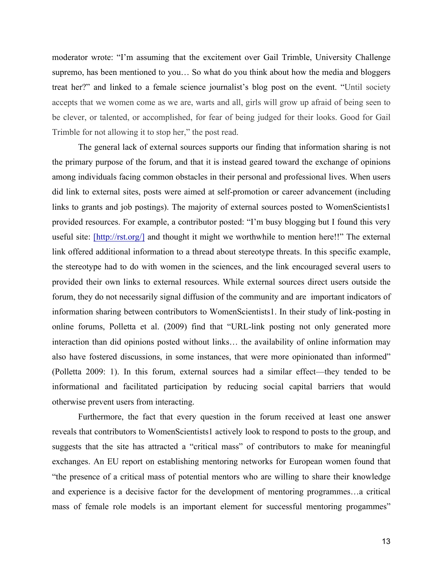moderator wrote: "I'm assuming that the excitement over Gail Trimble, University Challenge supremo, has been mentioned to you… So what do you think about how the media and bloggers treat her?" and linked to a female science journalist's blog post on the event. "Until society accepts that we women come as we are, warts and all, girls will grow up afraid of being seen to be clever, or talented, or accomplished, for fear of being judged for their looks. Good for Gail Trimble for not allowing it to stop her," the post read.

The general lack of external sources supports our finding that information sharing is not the primary purpose of the forum, and that it is instead geared toward the exchange of opinions among individuals facing common obstacles in their personal and professional lives. When users did link to external sites, posts were aimed at self-promotion or career advancement (including links to grants and job postings). The majority of external sources posted to WomenScientists1 provided resources. For example, a contributor posted: "I'm busy blogging but I found this very useful site: [http://rst.org/] and thought it might we worthwhile to mention here!!" The external link offered additional information to a thread about stereotype threats. In this specific example, the stereotype had to do with women in the sciences, and the link encouraged several users to provided their own links to external resources. While external sources direct users outside the forum, they do not necessarily signal diffusion of the community and are important indicators of information sharing between contributors to WomenScientists1. In their study of link-posting in online forums, Polletta et al. (2009) find that "URL-link posting not only generated more interaction than did opinions posted without links… the availability of online information may also have fostered discussions, in some instances, that were more opinionated than informed" (Polletta 2009: 1). In this forum, external sources had a similar effect—they tended to be informational and facilitated participation by reducing social capital barriers that would otherwise prevent users from interacting.

Furthermore, the fact that every question in the forum received at least one answer reveals that contributors to WomenScientists1 actively look to respond to posts to the group, and suggests that the site has attracted a "critical mass" of contributors to make for meaningful exchanges. An EU report on establishing mentoring networks for European women found that "the presence of a critical mass of potential mentors who are willing to share their knowledge and experience is a decisive factor for the development of mentoring programmes…a critical mass of female role models is an important element for successful mentoring progammes"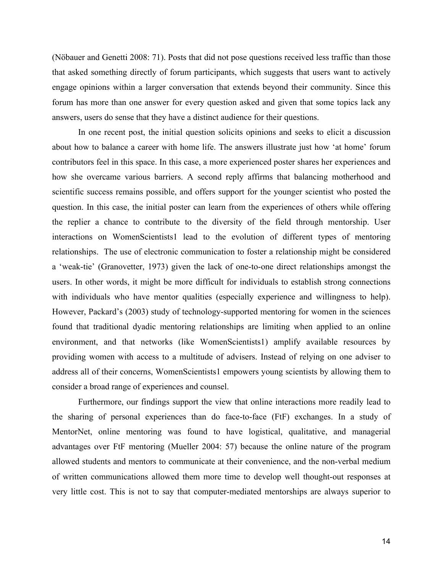(Nöbauer and Genetti 2008: 71). Posts that did not pose questions received less traffic than those that asked something directly of forum participants, which suggests that users want to actively engage opinions within a larger conversation that extends beyond their community. Since this forum has more than one answer for every question asked and given that some topics lack any answers, users do sense that they have a distinct audience for their questions.

In one recent post, the initial question solicits opinions and seeks to elicit a discussion about how to balance a career with home life. The answers illustrate just how 'at home' forum contributors feel in this space. In this case, a more experienced poster shares her experiences and how she overcame various barriers. A second reply affirms that balancing motherhood and scientific success remains possible, and offers support for the younger scientist who posted the question. In this case, the initial poster can learn from the experiences of others while offering the replier a chance to contribute to the diversity of the field through mentorship. User interactions on WomenScientists1 lead to the evolution of different types of mentoring relationships. The use of electronic communication to foster a relationship might be considered a 'weak-tie' (Granovetter, 1973) given the lack of one-to-one direct relationships amongst the users. In other words, it might be more difficult for individuals to establish strong connections with individuals who have mentor qualities (especially experience and willingness to help). However, Packard's (2003) study of technology-supported mentoring for women in the sciences found that traditional dyadic mentoring relationships are limiting when applied to an online environment, and that networks (like WomenScientists1) amplify available resources by providing women with access to a multitude of advisers. Instead of relying on one adviser to address all of their concerns, WomenScientists1 empowers young scientists by allowing them to consider a broad range of experiences and counsel.

Furthermore, our findings support the view that online interactions more readily lead to the sharing of personal experiences than do face-to-face (FtF) exchanges. In a study of MentorNet, online mentoring was found to have logistical, qualitative, and managerial advantages over FtF mentoring (Mueller 2004: 57) because the online nature of the program allowed students and mentors to communicate at their convenience, and the non-verbal medium of written communications allowed them more time to develop well thought-out responses at very little cost. This is not to say that computer-mediated mentorships are always superior to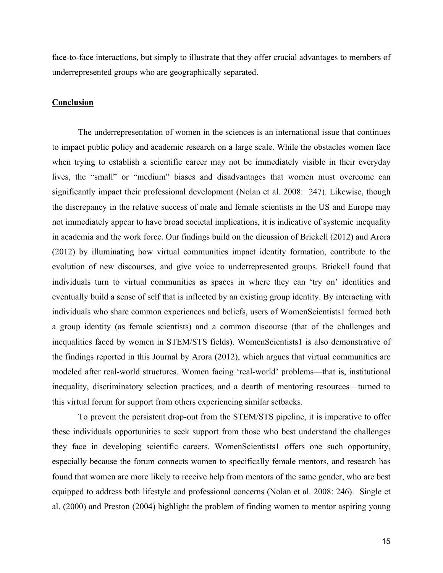face-to-face interactions, but simply to illustrate that they offer crucial advantages to members of underrepresented groups who are geographically separated.

### **Conclusion**

The underrepresentation of women in the sciences is an international issue that continues to impact public policy and academic research on a large scale. While the obstacles women face when trying to establish a scientific career may not be immediately visible in their everyday lives, the "small" or "medium" biases and disadvantages that women must overcome can significantly impact their professional development (Nolan et al. 2008: 247). Likewise, though the discrepancy in the relative success of male and female scientists in the US and Europe may not immediately appear to have broad societal implications, it is indicative of systemic inequality in academia and the work force. Our findings build on the dicussion of Brickell (2012) and Arora (2012) by illuminating how virtual communities impact identity formation, contribute to the evolution of new discourses, and give voice to underrepresented groups. Brickell found that individuals turn to virtual communities as spaces in where they can 'try on' identities and eventually build a sense of self that is inflected by an existing group identity. By interacting with individuals who share common experiences and beliefs, users of WomenScientists1 formed both a group identity (as female scientists) and a common discourse (that of the challenges and inequalities faced by women in STEM/STS fields). WomenScientists1 is also demonstrative of the findings reported in this Journal by Arora (2012), which argues that virtual communities are modeled after real-world structures. Women facing 'real-world' problems—that is, institutional inequality, discriminatory selection practices, and a dearth of mentoring resources—turned to this virtual forum for support from others experiencing similar setbacks.

To prevent the persistent drop-out from the STEM/STS pipeline, it is imperative to offer these individuals opportunities to seek support from those who best understand the challenges they face in developing scientific careers. WomenScientists1 offers one such opportunity, especially because the forum connects women to specifically female mentors, and research has found that women are more likely to receive help from mentors of the same gender, who are best equipped to address both lifestyle and professional concerns (Nolan et al. 2008: 246). Single et al. (2000) and Preston (2004) highlight the problem of finding women to mentor aspiring young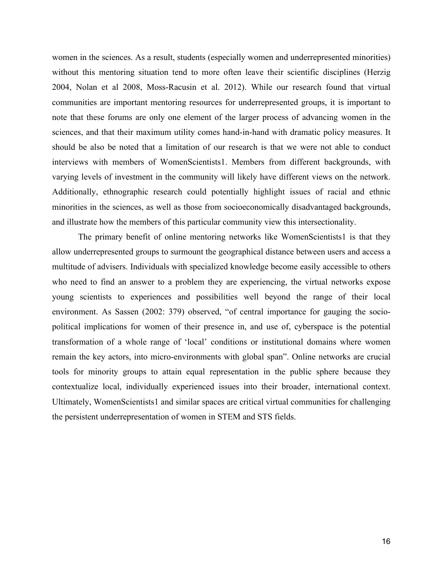women in the sciences. As a result, students (especially women and underrepresented minorities) without this mentoring situation tend to more often leave their scientific disciplines (Herzig 2004, Nolan et al 2008, Moss-Racusin et al. 2012). While our research found that virtual communities are important mentoring resources for underrepresented groups, it is important to note that these forums are only one element of the larger process of advancing women in the sciences, and that their maximum utility comes hand-in-hand with dramatic policy measures. It should be also be noted that a limitation of our research is that we were not able to conduct interviews with members of WomenScientists1. Members from different backgrounds, with varying levels of investment in the community will likely have different views on the network. Additionally, ethnographic research could potentially highlight issues of racial and ethnic minorities in the sciences, as well as those from socioeconomically disadvantaged backgrounds, and illustrate how the members of this particular community view this intersectionality.

The primary benefit of online mentoring networks like WomenScientists1 is that they allow underrepresented groups to surmount the geographical distance between users and access a multitude of advisers. Individuals with specialized knowledge become easily accessible to others who need to find an answer to a problem they are experiencing, the virtual networks expose young scientists to experiences and possibilities well beyond the range of their local environment. As Sassen (2002: 379) observed, "of central importance for gauging the sociopolitical implications for women of their presence in, and use of, cyberspace is the potential transformation of a whole range of 'local' conditions or institutional domains where women remain the key actors, into micro-environments with global span". Online networks are crucial tools for minority groups to attain equal representation in the public sphere because they contextualize local, individually experienced issues into their broader, international context. Ultimately, WomenScientists1 and similar spaces are critical virtual communities for challenging the persistent underrepresentation of women in STEM and STS fields.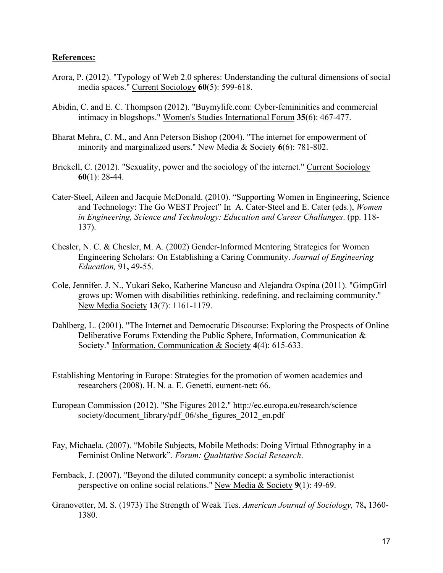## **References:**

- Arora, P. (2012). "Typology of Web 2.0 spheres: Understanding the cultural dimensions of social media spaces." Current Sociology **60**(5): 599-618.
- Abidin, C. and E. C. Thompson (2012). "Buymylife.com: Cyber-femininities and commercial intimacy in blogshops." Women's Studies International Forum **35**(6): 467-477.
- Bharat Mehra, C. M., and Ann Peterson Bishop (2004). "The internet for empowerment of minority and marginalized users." New Media & Society **6**(6): 781-802.
- Brickell, C. (2012). "Sexuality, power and the sociology of the internet." Current Sociology **60**(1): 28-44.
- Cater-Steel, Aileen and Jacquie McDonald. (2010). "Supporting Women in Engineering, Science and Technology: The Go WEST Project" In A. Cater-Steel and E. Cater (eds.), *Women in Engineering, Science and Technology: Education and Career Challanges*. (pp. 118- 137).
- Chesler, N. C. & Chesler, M. A. (2002) Gender-Informed Mentoring Strategies for Women Engineering Scholars: On Establishing a Caring Community. *Journal of Engineering Education,* 91**,** 49-55.
- Cole, Jennifer. J. N., Yukari Seko, Katherine Mancuso and Alejandra Ospina (2011). "GimpGirl grows up: Women with disabilities rethinking, redefining, and reclaiming community." New Media Society **13**(7): 1161-1179.
- Dahlberg, L. (2001). "The Internet and Democratic Discourse: Exploring the Prospects of Online Deliberative Forums Extending the Public Sphere, Information, Communication & Society." Information, Communication & Society **4**(4): 615-633.
- Establishing Mentoring in Europe: Strategies for the promotion of women academics and researchers (2008). H. N. a. E. Genetti, eument-net**:** 66.
- European Commission (2012). "She Figures 2012." http://ec.europa.eu/research/science society/document\_library/pdf\_06/she\_figures\_2012\_en.pdf
- Fay, Michaela. (2007). "Mobile Subjects, Mobile Methods: Doing Virtual Ethnography in a Feminist Online Network". *Forum: Qualitative Social Research*.
- Fernback, J. (2007). "Beyond the diluted community concept: a symbolic interactionist perspective on online social relations." New Media & Society **9**(1): 49-69.
- Granovetter, M. S. (1973) The Strength of Weak Ties. *American Journal of Sociology,* 78**,** 1360- 1380.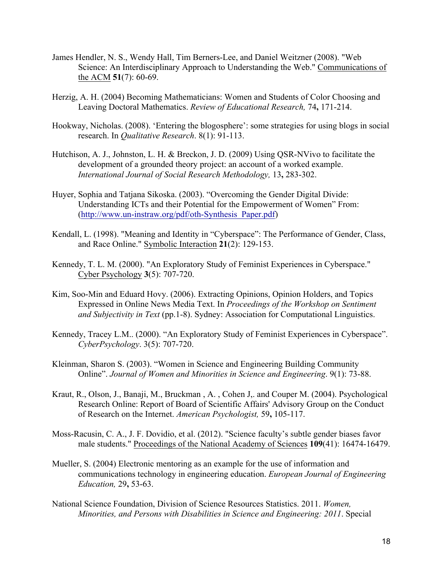- James Hendler, N. S., Wendy Hall, Tim Berners-Lee, and Daniel Weitzner (2008). "Web Science: An Interdisciplinary Approach to Understanding the Web." Communications of the ACM **51**(7): 60-69.
- Herzig, A. H. (2004) Becoming Mathematicians: Women and Students of Color Choosing and Leaving Doctoral Mathematics. *Review of Educational Research,* 74**,** 171-214.
- Hookway, Nicholas. (2008). 'Entering the blogosphere': some strategies for using blogs in social research. In *Qualitative Research*. 8(1): 91-113.
- Hutchison, A. J., Johnston, L. H. & Breckon, J. D. (2009) Using QSR-NVivo to facilitate the development of a grounded theory project: an account of a worked example. *International Journal of Social Research Methodology,* 13**,** 283-302.
- Huyer, Sophia and Tatjana Sikoska. (2003). "Overcoming the Gender Digital Divide: Understanding ICTs and their Potential for the Empowerment of Women" From: (http://www.un-instraw.org/pdf/oth-Synthesis\_Paper.pdf)
- Kendall, L. (1998). "Meaning and Identity in "Cyberspace": The Performance of Gender, Class, and Race Online." Symbolic Interaction **21**(2): 129-153.
- Kennedy, T. L. M. (2000). "An Exploratory Study of Feminist Experiences in Cyberspace." Cyber Psychology **3**(5): 707-720.
- Kim, Soo-Min and Eduard Hovy. (2006). Extracting Opinions, Opinion Holders, and Topics Expressed in Online News Media Text. In *Proceedings of the Workshop on Sentiment and Subjectivity in Text* (pp.1-8). Sydney: Association for Computational Linguistics.
- Kennedy, Tracey L.M.. (2000). "An Exploratory Study of Feminist Experiences in Cyberspace". *CyberPsychology*. 3(5): 707-720.
- Kleinman, Sharon S. (2003). "Women in Science and Engineering Building Community Online". *Journal of Women and Minorities in Science and Engineering*. 9(1): 73-88.
- Kraut, R., Olson, J., Banaji, M., Bruckman , A. , Cohen J,. and Couper M. (2004). Psychological Research Online: Report of Board of Scientific Affairs' Advisory Group on the Conduct of Research on the Internet. *American Psychologist,* 59**,** 105-117.
- Moss-Racusin, C. A., J. F. Dovidio, et al. (2012). "Science faculty's subtle gender biases favor male students." Proceedings of the National Academy of Sciences **109**(41): 16474-16479.
- Mueller, S. (2004) Electronic mentoring as an example for the use of information and communications technology in engineering education. *European Journal of Engineering Education,* 29**,** 53-63.
- National Science Foundation, Division of Science Resources Statistics. 2011. *Women, Minorities, and Persons with Disabilities in Science and Engineering: 2011*. Special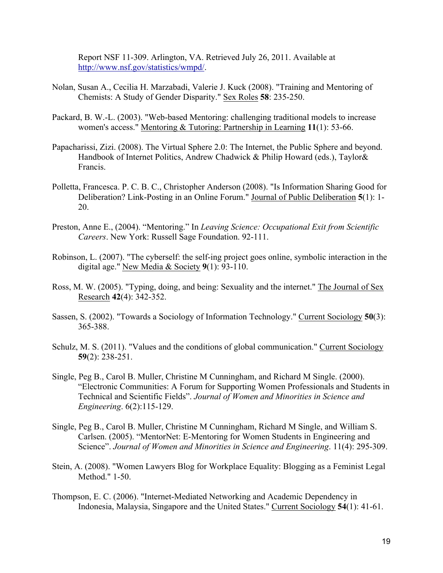Report NSF 11-309. Arlington, VA. Retrieved July 26, 2011. Available at http://www.nsf.gov/statistics/wmpd/.

- Nolan, Susan A., Cecilia H. Marzabadi, Valerie J. Kuck (2008). "Training and Mentoring of Chemists: A Study of Gender Disparity." Sex Roles **58**: 235-250.
- Packard, B. W.-L. (2003). "Web-based Mentoring: challenging traditional models to increase women's access." Mentoring & Tutoring: Partnership in Learning **11**(1): 53-66.
- Papacharissi, Zizi. (2008). The Virtual Sphere 2.0: The Internet, the Public Sphere and beyond. Handbook of Internet Politics, Andrew Chadwick & Philip Howard (eds.), Taylor& Francis.
- Polletta, Francesca. P. C. B. C., Christopher Anderson (2008). "Is Information Sharing Good for Deliberation? Link-Posting in an Online Forum." Journal of Public Deliberation **5**(1): 1- 20.
- Preston, Anne E., (2004). "Mentoring." In *Leaving Science: Occupational Exit from Scientific Careers*. New York: Russell Sage Foundation. 92-111.
- Robinson, L. (2007). "The cyberself: the self-ing project goes online, symbolic interaction in the digital age." New Media & Society **9**(1): 93-110.
- Ross, M. W. (2005). "Typing, doing, and being: Sexuality and the internet." The Journal of Sex Research **42**(4): 342-352.
- Sassen, S. (2002). "Towards a Sociology of Information Technology." Current Sociology **50**(3): 365-388.
- Schulz, M. S. (2011). "Values and the conditions of global communication." Current Sociology **59**(2): 238-251.
- Single, Peg B., Carol B. Muller, Christine M Cunningham, and Richard M Single. (2000). "Electronic Communities: A Forum for Supporting Women Professionals and Students in Technical and Scientific Fields". *Journal of Women and Minorities in Science and Engineering*. 6(2):115-129.
- Single, Peg B., Carol B. Muller, Christine M Cunningham, Richard M Single, and William S. Carlsen. (2005). "MentorNet: E-Mentoring for Women Students in Engineering and Science". *Journal of Women and Minorities in Science and Engineering*. 11(4): 295-309.
- Stein, A. (2008). "Women Lawyers Blog for Workplace Equality: Blogging as a Feminist Legal Method." 1-50.
- Thompson, E. C. (2006). "Internet-Mediated Networking and Academic Dependency in Indonesia, Malaysia, Singapore and the United States." Current Sociology **54**(1): 41-61.